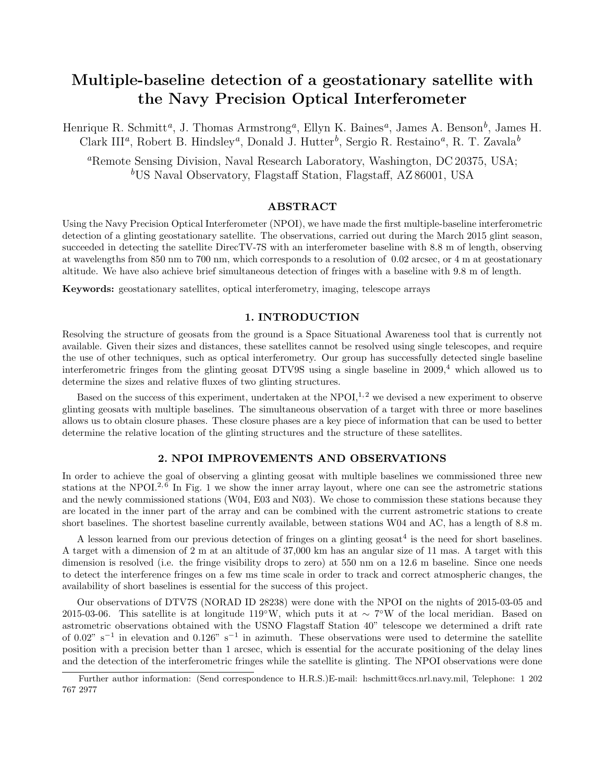# Multiple-baseline detection of a geostationary satellite with the Navy Precision Optical Interferometer

Henrique R. Schmitt<sup>a</sup>, J. Thomas Armstrong<sup>a</sup>, Ellyn K. Baines<sup>a</sup>, James A. Benson<sup>b</sup>, James H. Clark III<sup>a</sup>, Robert B. Hindsley<sup>a</sup>, Donald J. Hutter<sup>b</sup>, Sergio R. Restaino<sup>a</sup>, R. T. Zavala<sup>b</sup>

<sup>a</sup>Remote Sensing Division, Naval Research Laboratory, Washington, DC 20375, USA; <sup>b</sup>US Naval Observatory, Flagstaff Station, Flagstaff, AZ 86001, USA

# ABSTRACT

Using the Navy Precision Optical Interferometer (NPOI), we have made the first multiple-baseline interferometric detection of a glinting geostationary satellite. The observations, carried out during the March 2015 glint season, succeeded in detecting the satellite DirecTV-7S with an interferometer baseline with 8.8 m of length, observing at wavelengths from 850 nm to 700 nm, which corresponds to a resolution of 0.02 arcsec, or 4 m at geostationary altitude. We have also achieve brief simultaneous detection of fringes with a baseline with 9.8 m of length.

Keywords: geostationary satellites, optical interferometry, imaging, telescope arrays

# 1. INTRODUCTION

Resolving the structure of geosats from the ground is a Space Situational Awareness tool that is currently not available. Given their sizes and distances, these satellites cannot be resolved using single telescopes, and require the use of other techniques, such as optical interferometry. Our group has successfully detected single baseline interferometric fringes from the glinting geosat DTV9S using a single baseline in 2009,<sup>4</sup> which allowed us to determine the sizes and relative fluxes of two glinting structures.

Based on the success of this experiment, undertaken at the NPOI,<sup>1,2</sup> we devised a new experiment to observe glinting geosats with multiple baselines. The simultaneous observation of a target with three or more baselines allows us to obtain closure phases. These closure phases are a key piece of information that can be used to better determine the relative location of the glinting structures and the structure of these satellites.

## 2. NPOI IMPROVEMENTS AND OBSERVATIONS

In order to achieve the goal of observing a glinting geosat with multiple baselines we commissioned three new stations at the NPOI.<sup>2,  $\tilde{6}$ </sup> In Fig. 1 we show the inner array layout, where one can see the astrometric stations and the newly commissioned stations (W04, E03 and N03). We chose to commission these stations because they are located in the inner part of the array and can be combined with the current astrometric stations to create short baselines. The shortest baseline currently available, between stations W04 and AC, has a length of 8.8 m.

A lesson learned from our previous detection of fringes on a glinting geosat<sup>4</sup> is the need for short baselines. A target with a dimension of 2 m at an altitude of 37,000 km has an angular size of 11 mas. A target with this dimension is resolved (i.e. the fringe visibility drops to zero) at 550 nm on a 12.6 m baseline. Since one needs to detect the interference fringes on a few ms time scale in order to track and correct atmospheric changes, the availability of short baselines is essential for the success of this project.

Our observations of DTV7S (NORAD ID 28238) were done with the NPOI on the nights of 2015-03-05 and 2015-03-06. This satellite is at longitude 119°W, which puts it at ~ 7°W of the local meridian. Based on astrometric observations obtained with the USNO Flagstaff Station 40" telescope we determined a drift rate of 0.02" s<sup>-1</sup> in elevation and 0.126" s<sup>-1</sup> in azimuth. These observations were used to determine the satellite position with a precision better than 1 arcsec, which is essential for the accurate positioning of the delay lines and the detection of the interferometric fringes while the satellite is glinting. The NPOI observations were done

Further author information: (Send correspondence to H.R.S.)E-mail: hschmitt@ccs.nrl.navy.mil, Telephone: 1 202 767 2977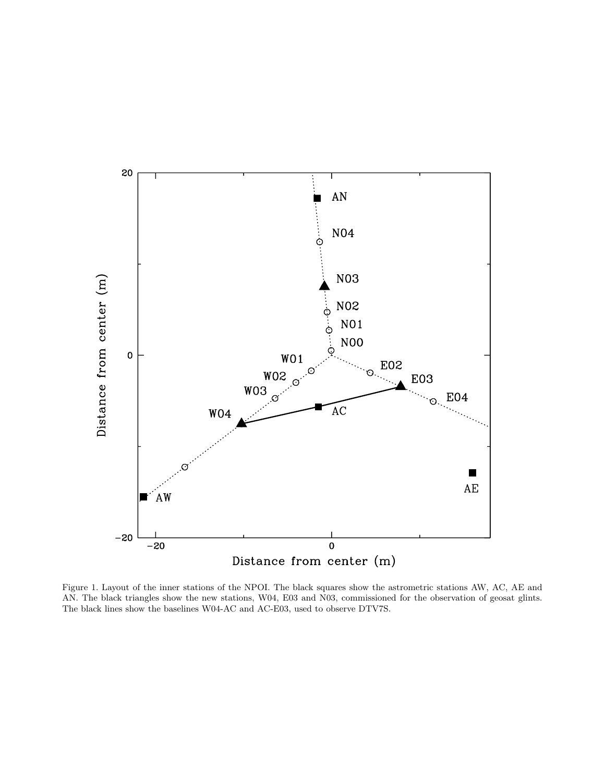

Figure 1. Layout of the inner stations of the NPOI. The black squares show the astrometric stations AW, AC, AE and AN. The black triangles show the new stations, W04, E03 and N03, commissioned for the observation of geosat glints. The black lines show the baselines W04-AC and AC-E03, used to observe DTV7S.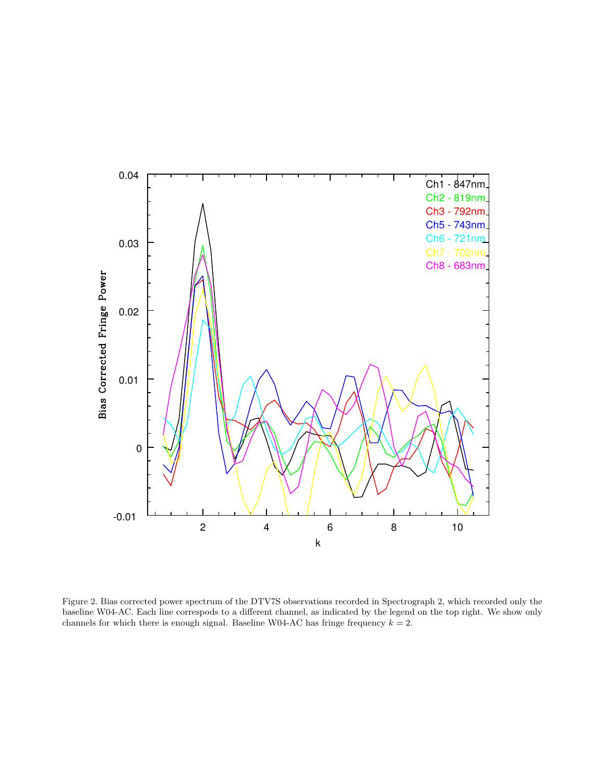

Figure 2. Bias corrected power spectrum of the DTV7S observations recorded in Spectrograph 2, which recorded only the baseline W04-AC. Each line correspods to a different channel, as indicated by the legend on the top right. We show only channels for which there is enough signal. Baseline W04-AC has fringe frequency  $k = 2$ .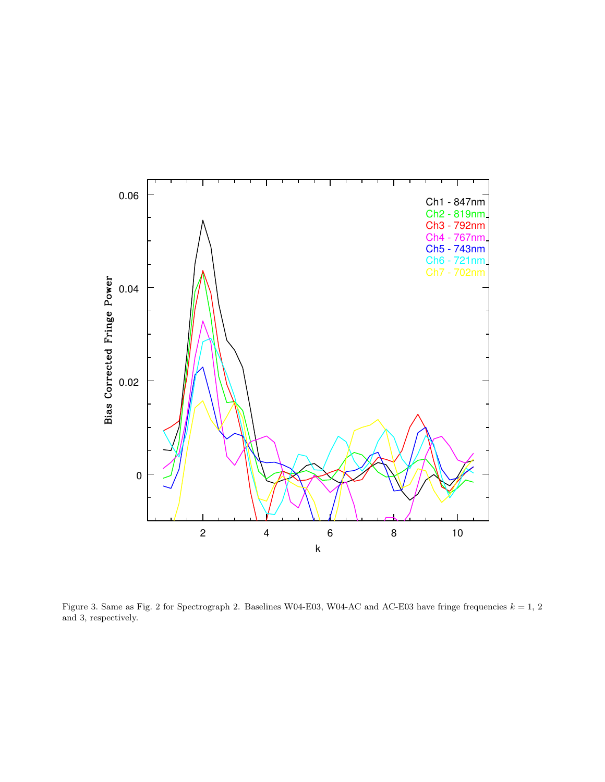

Figure 3. Same as Fig. 2 for Spectrograph 2. Baselines W04-E03, W04-AC and AC-E03 have fringe frequencies  $k = 1, 2$ and 3, respectively.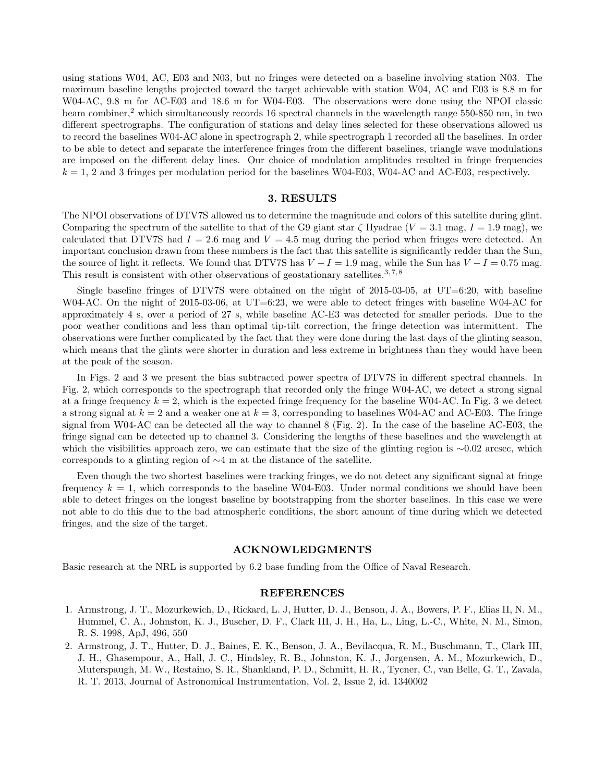using stations W04, AC, E03 and N03, but no fringes were detected on a baseline involving station N03. The maximum baseline lengths projected toward the target achievable with station W04, AC and E03 is 8.8 m for W04-AC, 9.8 m for AC-E03 and 18.6 m for W04-E03. The observations were done using the NPOI classic beam combiner,<sup>2</sup> which simultaneously records 16 spectral channels in the wavelength range 550-850 nm, in two different spectrographs. The configuration of stations and delay lines selected for these observations allowed us to record the baselines W04-AC alone in spectrograph 2, while spectrograph 1 recorded all the baselines. In order to be able to detect and separate the interference fringes from the different baselines, triangle wave modulations are imposed on the different delay lines. Our choice of modulation amplitudes resulted in fringe frequencies  $k = 1, 2$  and 3 fringes per modulation period for the baselines W04-E03, W04-AC and AC-E03, respectively.

## 3. RESULTS

The NPOI observations of DTV7S allowed us to determine the magnitude and colors of this satellite during glint. Comparing the spectrum of the satellite to that of the G9 giant star  $\zeta$  Hyadrae ( $V = 3.1$  mag,  $I = 1.9$  mag), we calculated that DTV7S had  $I = 2.6$  mag and  $V = 4.5$  mag during the period when fringes were detected. An important conclusion drawn from these numbers is the fact that this satellite is significantly redder than the Sun, the source of light it reflects. We found that DTV7S has  $V - I = 1.9$  mag, while the Sun has  $V - I = 0.75$  mag. This result is consistent with other observations of geostationary satellites.<sup>3,7,8</sup>

Single baseline fringes of DTV7S were obtained on the night of 2015-03-05, at UT=6:20, with baseline W04-AC. On the night of 2015-03-06, at UT=6:23, we were able to detect fringes with baseline W04-AC for approximately 4 s, over a period of 27 s, while baseline AC-E3 was detected for smaller periods. Due to the poor weather conditions and less than optimal tip-tilt correction, the fringe detection was intermittent. The observations were further complicated by the fact that they were done during the last days of the glinting season, which means that the glints were shorter in duration and less extreme in brightness than they would have been at the peak of the season.

In Figs. 2 and 3 we present the bias subtracted power spectra of DTV7S in different spectral channels. In Fig. 2, which corresponds to the spectrograph that recorded only the fringe W04-AC, we detect a strong signal at a fringe frequency  $k = 2$ , which is the expected fringe frequency for the baseline W04-AC. In Fig. 3 we detect a strong signal at  $k = 2$  and a weaker one at  $k = 3$ , corresponding to baselines W04-AC and AC-E03. The fringe signal from W04-AC can be detected all the way to channel 8 (Fig. 2). In the case of the baseline AC-E03, the fringe signal can be detected up to channel 3. Considering the lengths of these baselines and the wavelength at which the visibilities approach zero, we can estimate that the size of the glinting region is ∼0.02 arcsec, which corresponds to a glinting region of ∼4 m at the distance of the satellite.

Even though the two shortest baselines were tracking fringes, we do not detect any significant signal at fringe frequency  $k = 1$ , which corresponds to the baseline W04-E03. Under normal conditions we should have been able to detect fringes on the longest baseline by bootstrapping from the shorter baselines. In this case we were not able to do this due to the bad atmospheric conditions, the short amount of time during which we detected fringes, and the size of the target.

## ACKNOWLEDGMENTS

Basic research at the NRL is supported by 6.2 base funding from the Office of Naval Research.

#### REFERENCES

- 1. Armstrong, J. T., Mozurkewich, D., Rickard, L. J, Hutter, D. J., Benson, J. A., Bowers, P. F., Elias II, N. M., Hummel, C. A., Johnston, K. J., Buscher, D. F., Clark III, J. H., Ha, L., Ling, L.-C., White, N. M., Simon, R. S. 1998, ApJ, 496, 550
- 2. Armstrong, J. T., Hutter, D. J., Baines, E. K., Benson, J. A., Bevilacqua, R. M., Buschmann, T., Clark III, J. H., Ghasempour, A., Hall, J. C., Hindsley, R. B., Johnston, K. J., Jorgensen, A. M., Mozurkewich, D., Muterspaugh, M. W., Restaino, S. R., Shankland, P. D., Schmitt, H. R., Tycner, C., van Belle, G. T., Zavala, R. T. 2013, Journal of Astronomical Instrumentation, Vol. 2, Issue 2, id. 1340002